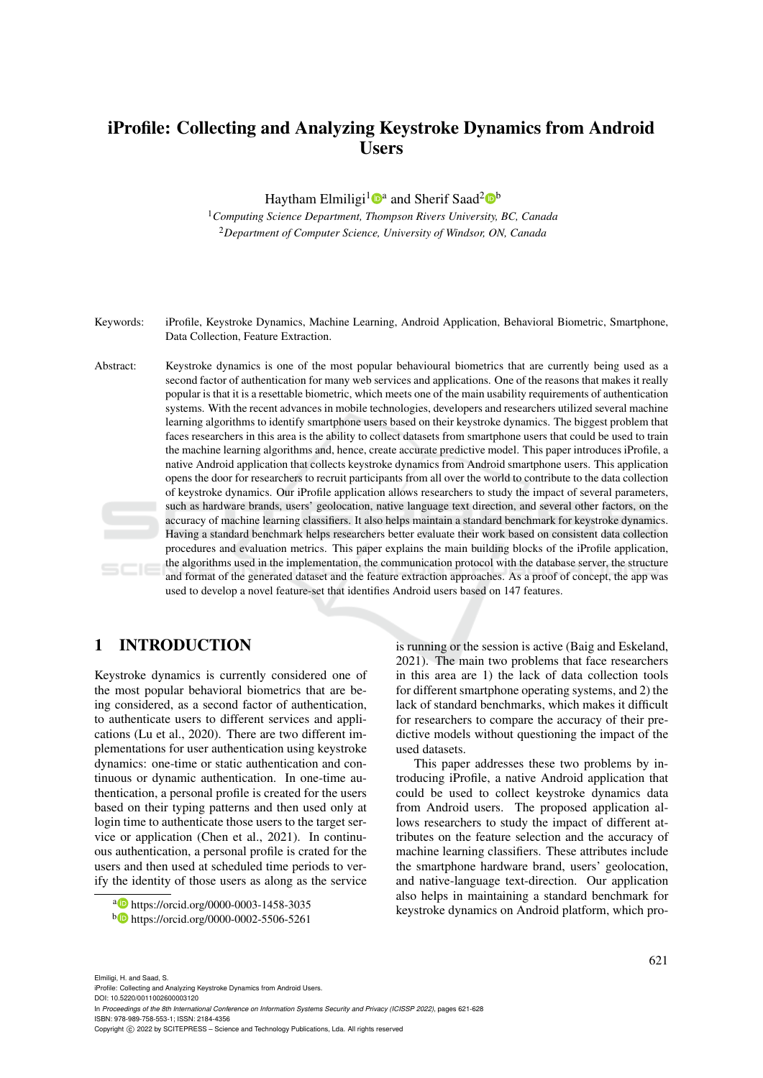# iProfile: Collecting and Analyzing Keystroke Dynamics from Android Users

Haytham Elmiligi<sup>1</sup><sup>®</sup> and Sherif Saad<sup>2</sup><sup>®</sup>

<sup>1</sup>*Computing Science Department, Thompson Rivers University, BC, Canada* <sup>2</sup>*Department of Computer Science, University of Windsor, ON, Canada*

Keywords: iProfile, Keystroke Dynamics, Machine Learning, Android Application, Behavioral Biometric, Smartphone, Data Collection, Feature Extraction.

Abstract: Keystroke dynamics is one of the most popular behavioural biometrics that are currently being used as a second factor of authentication for many web services and applications. One of the reasons that makes it really popular is that it is a resettable biometric, which meets one of the main usability requirements of authentication systems. With the recent advances in mobile technologies, developers and researchers utilized several machine learning algorithms to identify smartphone users based on their keystroke dynamics. The biggest problem that faces researchers in this area is the ability to collect datasets from smartphone users that could be used to train the machine learning algorithms and, hence, create accurate predictive model. This paper introduces iProfile, a native Android application that collects keystroke dynamics from Android smartphone users. This application opens the door for researchers to recruit participants from all over the world to contribute to the data collection of keystroke dynamics. Our iProfile application allows researchers to study the impact of several parameters, such as hardware brands, users' geolocation, native language text direction, and several other factors, on the accuracy of machine learning classifiers. It also helps maintain a standard benchmark for keystroke dynamics. Having a standard benchmark helps researchers better evaluate their work based on consistent data collection procedures and evaluation metrics. This paper explains the main building blocks of the iProfile application, the algorithms used in the implementation, the communication protocol with the database server, the structure and format of the generated dataset and the feature extraction approaches. As a proof of concept, the app was used to develop a novel feature-set that identifies Android users based on 147 features.

## 1 INTRODUCTION

Keystroke dynamics is currently considered one of the most popular behavioral biometrics that are being considered, as a second factor of authentication, to authenticate users to different services and applications (Lu et al., 2020). There are two different implementations for user authentication using keystroke dynamics: one-time or static authentication and continuous or dynamic authentication. In one-time authentication, a personal profile is created for the users based on their typing patterns and then used only at login time to authenticate those users to the target service or application (Chen et al., 2021). In continuous authentication, a personal profile is crated for the users and then used at scheduled time periods to verify the identity of those users as along as the service

is running or the session is active (Baig and Eskeland, 2021). The main two problems that face researchers in this area are 1) the lack of data collection tools for different smartphone operating systems, and 2) the lack of standard benchmarks, which makes it difficult for researchers to compare the accuracy of their predictive models without questioning the impact of the used datasets.

This paper addresses these two problems by introducing iProfile, a native Android application that could be used to collect keystroke dynamics data from Android users. The proposed application allows researchers to study the impact of different attributes on the feature selection and the accuracy of machine learning classifiers. These attributes include the smartphone hardware brand, users' geolocation, and native-language text-direction. Our application also helps in maintaining a standard benchmark for keystroke dynamics on Android platform, which pro-

<sup>a</sup> https://orcid.org/0000-0003-1458-3035

<sup>b</sup> https://orcid.org/0000-0002-5506-5261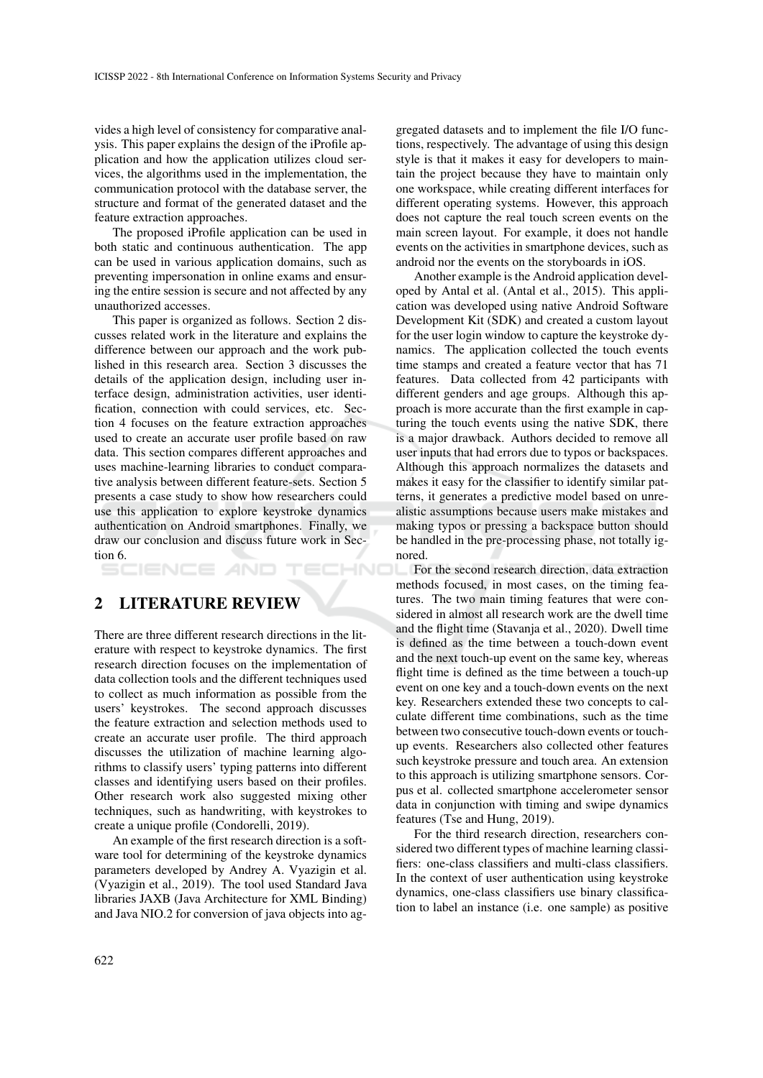vides a high level of consistency for comparative analysis. This paper explains the design of the iProfile application and how the application utilizes cloud services, the algorithms used in the implementation, the communication protocol with the database server, the structure and format of the generated dataset and the feature extraction approaches.

The proposed iProfile application can be used in both static and continuous authentication. The app can be used in various application domains, such as preventing impersonation in online exams and ensuring the entire session is secure and not affected by any unauthorized accesses.

This paper is organized as follows. Section 2 discusses related work in the literature and explains the difference between our approach and the work published in this research area. Section 3 discusses the details of the application design, including user interface design, administration activities, user identification, connection with could services, etc. Section 4 focuses on the feature extraction approaches used to create an accurate user profile based on raw data. This section compares different approaches and uses machine-learning libraries to conduct comparative analysis between different feature-sets. Section 5 presents a case study to show how researchers could use this application to explore keystroke dynamics authentication on Android smartphones. Finally, we draw our conclusion and discuss future work in Section 6.

HNO

### 2 LITERATURE REVIEW

There are three different research directions in the literature with respect to keystroke dynamics. The first research direction focuses on the implementation of data collection tools and the different techniques used to collect as much information as possible from the users' keystrokes. The second approach discusses the feature extraction and selection methods used to create an accurate user profile. The third approach discusses the utilization of machine learning algorithms to classify users' typing patterns into different classes and identifying users based on their profiles. Other research work also suggested mixing other techniques, such as handwriting, with keystrokes to create a unique profile (Condorelli, 2019).

An example of the first research direction is a software tool for determining of the keystroke dynamics parameters developed by Andrey A. Vyazigin et al. (Vyazigin et al., 2019). The tool used Standard Java libraries JAXB (Java Architecture for XML Binding) and Java NIO.2 for conversion of java objects into ag-

gregated datasets and to implement the file I/O functions, respectively. The advantage of using this design style is that it makes it easy for developers to maintain the project because they have to maintain only one workspace, while creating different interfaces for different operating systems. However, this approach does not capture the real touch screen events on the main screen layout. For example, it does not handle events on the activities in smartphone devices, such as android nor the events on the storyboards in iOS.

Another example is the Android application developed by Antal et al. (Antal et al., 2015). This application was developed using native Android Software Development Kit (SDK) and created a custom layout for the user login window to capture the keystroke dynamics. The application collected the touch events time stamps and created a feature vector that has 71 features. Data collected from 42 participants with different genders and age groups. Although this approach is more accurate than the first example in capturing the touch events using the native SDK, there is a major drawback. Authors decided to remove all user inputs that had errors due to typos or backspaces. Although this approach normalizes the datasets and makes it easy for the classifier to identify similar patterns, it generates a predictive model based on unrealistic assumptions because users make mistakes and making typos or pressing a backspace button should be handled in the pre-processing phase, not totally ignored.

For the second research direction, data extraction ∟ methods focused, in most cases, on the timing features. The two main timing features that were considered in almost all research work are the dwell time and the flight time (Stavanja et al., 2020). Dwell time is defined as the time between a touch-down event and the next touch-up event on the same key, whereas flight time is defined as the time between a touch-up event on one key and a touch-down events on the next key. Researchers extended these two concepts to calculate different time combinations, such as the time between two consecutive touch-down events or touchup events. Researchers also collected other features such keystroke pressure and touch area. An extension to this approach is utilizing smartphone sensors. Corpus et al. collected smartphone accelerometer sensor data in conjunction with timing and swipe dynamics features (Tse and Hung, 2019).

For the third research direction, researchers considered two different types of machine learning classifiers: one-class classifiers and multi-class classifiers. In the context of user authentication using keystroke dynamics, one-class classifiers use binary classification to label an instance (i.e. one sample) as positive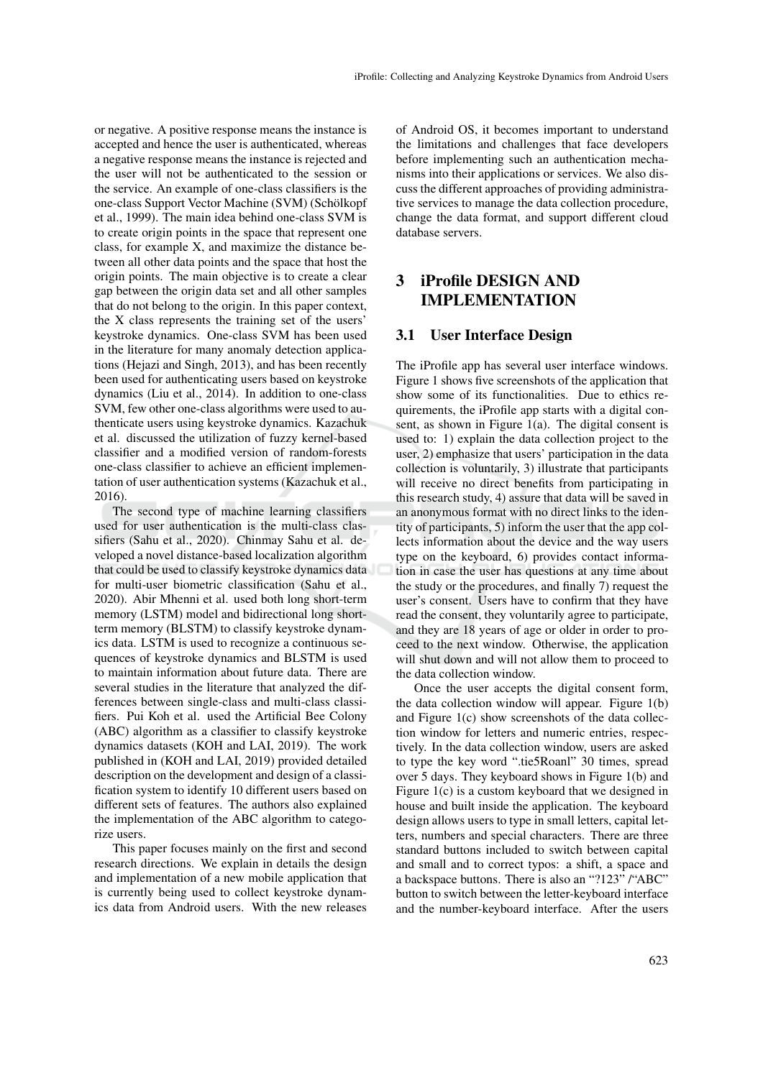or negative. A positive response means the instance is accepted and hence the user is authenticated, whereas a negative response means the instance is rejected and the user will not be authenticated to the session or the service. An example of one-class classifiers is the one-class Support Vector Machine (SVM) (Schölkopf et al., 1999). The main idea behind one-class SVM is to create origin points in the space that represent one class, for example X, and maximize the distance between all other data points and the space that host the origin points. The main objective is to create a clear gap between the origin data set and all other samples that do not belong to the origin. In this paper context, the X class represents the training set of the users' keystroke dynamics. One-class SVM has been used in the literature for many anomaly detection applications (Hejazi and Singh, 2013), and has been recently been used for authenticating users based on keystroke dynamics (Liu et al., 2014). In addition to one-class SVM, few other one-class algorithms were used to authenticate users using keystroke dynamics. Kazachuk et al. discussed the utilization of fuzzy kernel-based classifier and a modified version of random-forests one-class classifier to achieve an efficient implementation of user authentication systems (Kazachuk et al., 2016).

The second type of machine learning classifiers used for user authentication is the multi-class classifiers (Sahu et al., 2020). Chinmay Sahu et al. developed a novel distance-based localization algorithm that could be used to classify keystroke dynamics data for multi-user biometric classification (Sahu et al., 2020). Abir Mhenni et al. used both long short-term memory (LSTM) model and bidirectional long shortterm memory (BLSTM) to classify keystroke dynamics data. LSTM is used to recognize a continuous sequences of keystroke dynamics and BLSTM is used to maintain information about future data. There are several studies in the literature that analyzed the differences between single-class and multi-class classifiers. Pui Koh et al. used the Artificial Bee Colony (ABC) algorithm as a classifier to classify keystroke dynamics datasets (KOH and LAI, 2019). The work published in (KOH and LAI, 2019) provided detailed description on the development and design of a classification system to identify 10 different users based on different sets of features. The authors also explained the implementation of the ABC algorithm to categorize users.

This paper focuses mainly on the first and second research directions. We explain in details the design and implementation of a new mobile application that is currently being used to collect keystroke dynamics data from Android users. With the new releases

of Android OS, it becomes important to understand the limitations and challenges that face developers before implementing such an authentication mechanisms into their applications or services. We also discuss the different approaches of providing administrative services to manage the data collection procedure, change the data format, and support different cloud database servers.

## 3 iProfile DESIGN AND IMPLEMENTATION

#### 3.1 User Interface Design

The iProfile app has several user interface windows. Figure 1 shows five screenshots of the application that show some of its functionalities. Due to ethics requirements, the iProfile app starts with a digital consent, as shown in Figure 1(a). The digital consent is used to: 1) explain the data collection project to the user, 2) emphasize that users' participation in the data collection is voluntarily, 3) illustrate that participants will receive no direct benefits from participating in this research study, 4) assure that data will be saved in an anonymous format with no direct links to the identity of participants, 5) inform the user that the app collects information about the device and the way users type on the keyboard, 6) provides contact information in case the user has questions at any time about the study or the procedures, and finally 7) request the user's consent. Users have to confirm that they have read the consent, they voluntarily agree to participate, and they are 18 years of age or older in order to proceed to the next window. Otherwise, the application will shut down and will not allow them to proceed to the data collection window.

Once the user accepts the digital consent form, the data collection window will appear. Figure 1(b) and Figure 1(c) show screenshots of the data collection window for letters and numeric entries, respectively. In the data collection window, users are asked to type the key word ".tie5Roanl" 30 times, spread over 5 days. They keyboard shows in Figure 1(b) and Figure 1(c) is a custom keyboard that we designed in house and built inside the application. The keyboard design allows users to type in small letters, capital letters, numbers and special characters. There are three standard buttons included to switch between capital and small and to correct typos: a shift, a space and a backspace buttons. There is also an "?123" /"ABC" button to switch between the letter-keyboard interface and the number-keyboard interface. After the users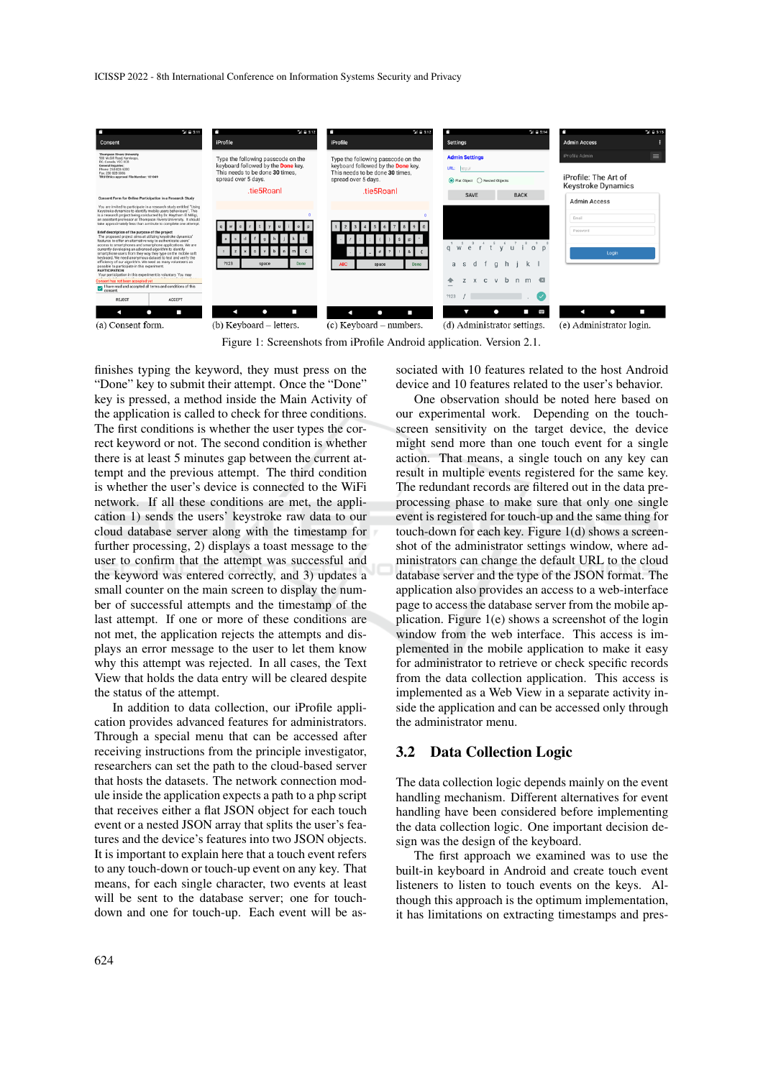ICISSP 2022 - 8th International Conference on Information Systems Security and Privacy



Figure 1: Screenshots from iProfile Android application. Version 2.1.

finishes typing the keyword, they must press on the "Done" key to submit their attempt. Once the "Done" key is pressed, a method inside the Main Activity of the application is called to check for three conditions. The first conditions is whether the user types the correct keyword or not. The second condition is whether there is at least 5 minutes gap between the current attempt and the previous attempt. The third condition is whether the user's device is connected to the WiFi network. If all these conditions are met, the application 1) sends the users' keystroke raw data to our cloud database server along with the timestamp for further processing, 2) displays a toast message to the user to confirm that the attempt was successful and the keyword was entered correctly, and 3) updates a small counter on the main screen to display the number of successful attempts and the timestamp of the last attempt. If one or more of these conditions are not met, the application rejects the attempts and displays an error message to the user to let them know why this attempt was rejected. In all cases, the Text View that holds the data entry will be cleared despite the status of the attempt.

In addition to data collection, our iProfile application provides advanced features for administrators. Through a special menu that can be accessed after receiving instructions from the principle investigator, researchers can set the path to the cloud-based server that hosts the datasets. The network connection module inside the application expects a path to a php script that receives either a flat JSON object for each touch event or a nested JSON array that splits the user's features and the device's features into two JSON objects. It is important to explain here that a touch event refers to any touch-down or touch-up event on any key. That means, for each single character, two events at least will be sent to the database server; one for touchdown and one for touch-up. Each event will be associated with 10 features related to the host Android device and 10 features related to the user's behavior.

One observation should be noted here based on our experimental work. Depending on the touchscreen sensitivity on the target device, the device might send more than one touch event for a single action. That means, a single touch on any key can result in multiple events registered for the same key. The redundant records are filtered out in the data preprocessing phase to make sure that only one single event is registered for touch-up and the same thing for touch-down for each key. Figure 1(d) shows a screenshot of the administrator settings window, where administrators can change the default URL to the cloud database server and the type of the JSON format. The application also provides an access to a web-interface page to access the database server from the mobile application. Figure 1(e) shows a screenshot of the login window from the web interface. This access is implemented in the mobile application to make it easy for administrator to retrieve or check specific records from the data collection application. This access is implemented as a Web View in a separate activity inside the application and can be accessed only through the administrator menu.

#### 3.2 Data Collection Logic

The data collection logic depends mainly on the event handling mechanism. Different alternatives for event handling have been considered before implementing the data collection logic. One important decision design was the design of the keyboard.

The first approach we examined was to use the built-in keyboard in Android and create touch event listeners to listen to touch events on the keys. Although this approach is the optimum implementation, it has limitations on extracting timestamps and pres-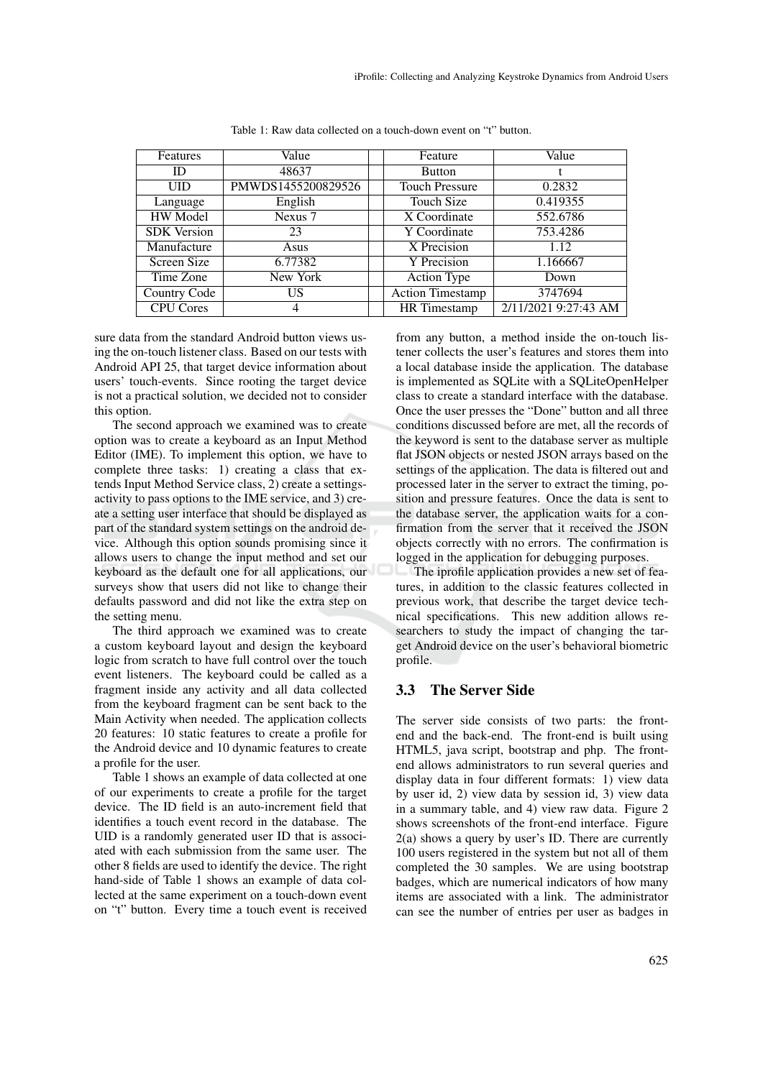| Features           | Value              | Feature                 | Value                |
|--------------------|--------------------|-------------------------|----------------------|
| ID                 | 48637              | <b>Button</b>           |                      |
| <b>UID</b>         | PMWDS1455200829526 | <b>Touch Pressure</b>   | 0.2832               |
| Language           | English            | Touch Size              | 0.419355             |
| HW Model           | Nexus 7            | X Coordinate            | 552.6786             |
| <b>SDK</b> Version | 23                 | Y Coordinate            | 753.4286             |
| Manufacture        | Asus               | X Precision             | 1.12                 |
| Screen Size        | 6.77382            | Y Precision             | 1.166667             |
| Time Zone          | New York           | <b>Action Type</b>      | Down                 |
| Country Code       | US                 | <b>Action Timestamp</b> | 3747694              |
| <b>CPU Cores</b>   | 4                  | <b>HR</b> Timestamp     | 2/11/2021 9:27:43 AM |

Table 1: Raw data collected on a touch-down event on "t" button.

sure data from the standard Android button views using the on-touch listener class. Based on our tests with Android API 25, that target device information about users' touch-events. Since rooting the target device is not a practical solution, we decided not to consider this option.

The second approach we examined was to create option was to create a keyboard as an Input Method Editor (IME). To implement this option, we have to complete three tasks: 1) creating a class that extends Input Method Service class, 2) create a settingsactivity to pass options to the IME service, and 3) create a setting user interface that should be displayed as part of the standard system settings on the android device. Although this option sounds promising since it allows users to change the input method and set our keyboard as the default one for all applications, our surveys show that users did not like to change their defaults password and did not like the extra step on the setting menu.

The third approach we examined was to create a custom keyboard layout and design the keyboard logic from scratch to have full control over the touch event listeners. The keyboard could be called as a fragment inside any activity and all data collected from the keyboard fragment can be sent back to the Main Activity when needed. The application collects 20 features: 10 static features to create a profile for the Android device and 10 dynamic features to create a profile for the user.

Table 1 shows an example of data collected at one of our experiments to create a profile for the target device. The ID field is an auto-increment field that identifies a touch event record in the database. The UID is a randomly generated user ID that is associated with each submission from the same user. The other 8 fields are used to identify the device. The right hand-side of Table 1 shows an example of data collected at the same experiment on a touch-down event on "t" button. Every time a touch event is received

from any button, a method inside the on-touch listener collects the user's features and stores them into a local database inside the application. The database is implemented as SQLite with a SQLiteOpenHelper class to create a standard interface with the database. Once the user presses the "Done" button and all three conditions discussed before are met, all the records of the keyword is sent to the database server as multiple flat JSON objects or nested JSON arrays based on the settings of the application. The data is filtered out and processed later in the server to extract the timing, position and pressure features. Once the data is sent to the database server, the application waits for a confirmation from the server that it received the JSON objects correctly with no errors. The confirmation is logged in the application for debugging purposes.

The iprofile application provides a new set of features, in addition to the classic features collected in previous work, that describe the target device technical specifications. This new addition allows researchers to study the impact of changing the target Android device on the user's behavioral biometric profile.

#### 3.3 The Server Side

The server side consists of two parts: the frontend and the back-end. The front-end is built using HTML5, java script, bootstrap and php. The frontend allows administrators to run several queries and display data in four different formats: 1) view data by user id, 2) view data by session id, 3) view data in a summary table, and 4) view raw data. Figure 2 shows screenshots of the front-end interface. Figure 2(a) shows a query by user's ID. There are currently 100 users registered in the system but not all of them completed the 30 samples. We are using bootstrap badges, which are numerical indicators of how many items are associated with a link. The administrator can see the number of entries per user as badges in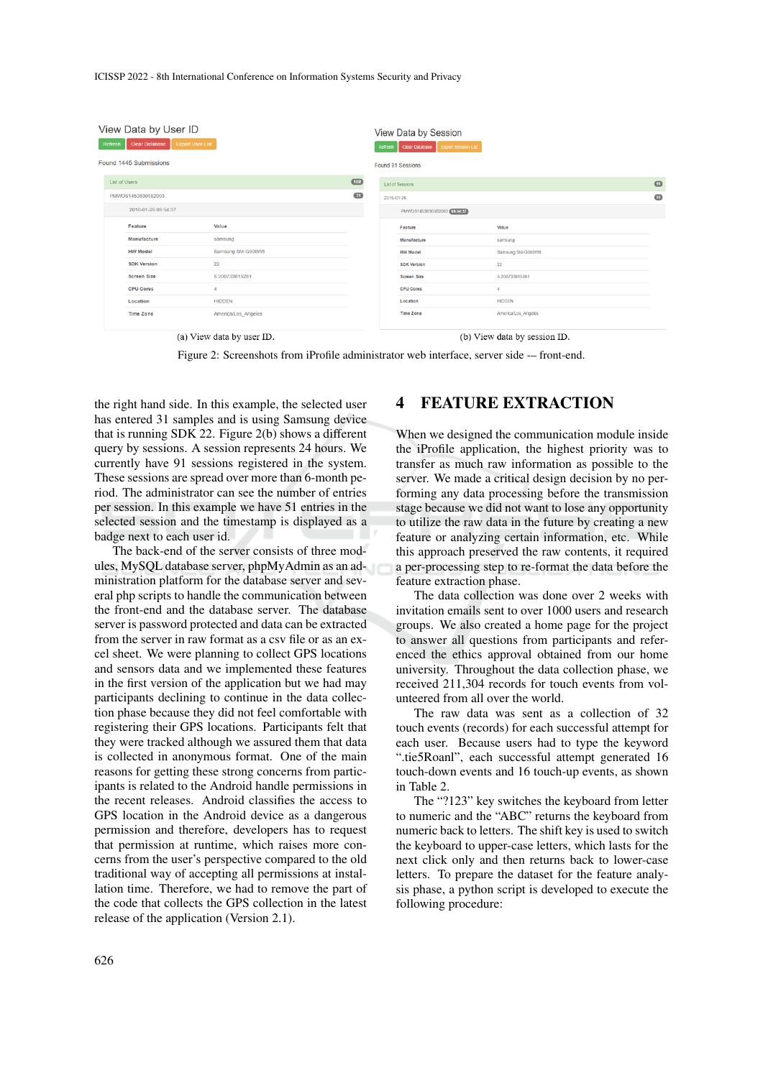ICISSP 2022 - 8th International Conference on Information Systems Security and Privacy

| View Data by User ID<br><b>Export User-List</b><br><b>Clear Database</b><br>Refresh |                      |                        |                           | View Data by Session<br><b>Export Session-List</b><br>Clear Database<br>Refresh |            |                             |                              |           |  |
|-------------------------------------------------------------------------------------|----------------------|------------------------|---------------------------|---------------------------------------------------------------------------------|------------|-----------------------------|------------------------------|-----------|--|
|                                                                                     |                      | Found 1445 Submissions |                           |                                                                                 |            | <b>Found 91 Sessions</b>    |                              |           |  |
|                                                                                     | <b>List of Users</b> |                        |                           | 100                                                                             |            | <b>List of Sessions</b>     |                              | $\bullet$ |  |
|                                                                                     |                      | PMWDS1453830582003     |                           | $\overline{31}$                                                                 | 2016-01-26 |                             |                              | 61        |  |
|                                                                                     |                      | 2016-01-26 09:54:37    |                           |                                                                                 |            | PMWDS1453830582003 09:54:37 |                              |           |  |
|                                                                                     |                      | Feature                | Value                     |                                                                                 |            | Feature                     | Value                        |           |  |
|                                                                                     |                      | Manufacture            | samsung                   |                                                                                 |            | Manufacture                 | samsung                      |           |  |
|                                                                                     |                      | <b>HW Model</b>        | Samsung SM-G900W8         |                                                                                 |            | <b>HW Model</b>             | Samsung SM-G900W8            |           |  |
|                                                                                     |                      | <b>SDK Version</b>     | 22                        |                                                                                 |            | <b>SDK Version</b>          | 22                           |           |  |
|                                                                                     |                      | <b>Screen Size</b>     | 5.200733815281            |                                                                                 |            | <b>Screen Size</b>          | 5.200733815281               |           |  |
|                                                                                     |                      | <b>CPU Cores</b>       | 4                         |                                                                                 |            | <b>CPU Cores</b>            |                              |           |  |
|                                                                                     |                      | Location               | <b>HIDDEN</b>             |                                                                                 |            | Location                    | <b>HIDDEN</b>                |           |  |
|                                                                                     |                      | <b>Time Zone</b>       | America/Los Angeles       |                                                                                 |            | <b>Time Zone</b>            | America/Los_Angeles          |           |  |
|                                                                                     |                      |                        | (a) View data by user ID. |                                                                                 |            |                             | (b) View data by session ID. |           |  |

Figure 2: Screenshots from iProfile administrator web interface, server side -– front-end.

the right hand side. In this example, the selected user has entered 31 samples and is using Samsung device that is running SDK 22. Figure 2(b) shows a different query by sessions. A session represents 24 hours. We currently have 91 sessions registered in the system. These sessions are spread over more than 6-month period. The administrator can see the number of entries per session. In this example we have 51 entries in the selected session and the timestamp is displayed as a badge next to each user id.

The back-end of the server consists of three modules, MySQL database server, phpMyAdmin as an administration platform for the database server and several php scripts to handle the communication between the front-end and the database server. The database server is password protected and data can be extracted from the server in raw format as a csv file or as an excel sheet. We were planning to collect GPS locations and sensors data and we implemented these features in the first version of the application but we had may participants declining to continue in the data collection phase because they did not feel comfortable with registering their GPS locations. Participants felt that they were tracked although we assured them that data is collected in anonymous format. One of the main reasons for getting these strong concerns from participants is related to the Android handle permissions in the recent releases. Android classifies the access to GPS location in the Android device as a dangerous permission and therefore, developers has to request that permission at runtime, which raises more concerns from the user's perspective compared to the old traditional way of accepting all permissions at installation time. Therefore, we had to remove the part of the code that collects the GPS collection in the latest release of the application (Version 2.1).

## 4 FEATURE EXTRACTION

When we designed the communication module inside the iProfile application, the highest priority was to transfer as much raw information as possible to the server. We made a critical design decision by no performing any data processing before the transmission stage because we did not want to lose any opportunity to utilize the raw data in the future by creating a new feature or analyzing certain information, etc. While this approach preserved the raw contents, it required a per-processing step to re-format the data before the feature extraction phase.

The data collection was done over 2 weeks with invitation emails sent to over 1000 users and research groups. We also created a home page for the project to answer all questions from participants and referenced the ethics approval obtained from our home university. Throughout the data collection phase, we received 211,304 records for touch events from volunteered from all over the world.

The raw data was sent as a collection of 32 touch events (records) for each successful attempt for each user. Because users had to type the keyword ".tie5Roanl", each successful attempt generated 16 touch-down events and 16 touch-up events, as shown in Table 2.

The "?123" key switches the keyboard from letter to numeric and the "ABC" returns the keyboard from numeric back to letters. The shift key is used to switch the keyboard to upper-case letters, which lasts for the next click only and then returns back to lower-case letters. To prepare the dataset for the feature analysis phase, a python script is developed to execute the following procedure: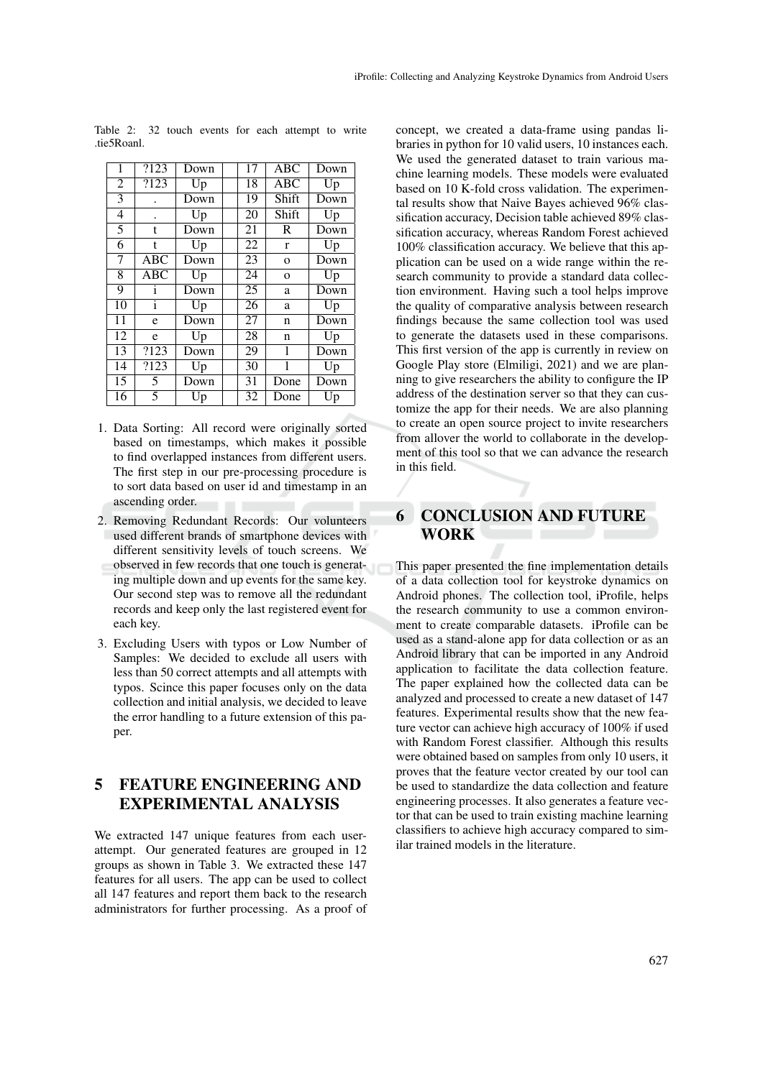| 1              | ?123         | Down | 17 | ABC          | Down |
|----------------|--------------|------|----|--------------|------|
| $\overline{2}$ | ?123         | Up   | 18 | ABC          | Up   |
| $\overline{3}$ | ٠            | Down | 19 | Shift        | Down |
| 4              | ٠            | Up   | 20 | Shift        | Up   |
| $\overline{5}$ | t            | Down | 21 | R            | Down |
| 6              | t            | Up   | 22 | $\mathbf{r}$ | Up   |
| 7              | <b>ABC</b>   | Down | 23 | $\mathbf{O}$ | Down |
| 8              | <b>ABC</b>   | Up   | 24 | $\mathbf{o}$ | Up   |
| 9              | i            | Down | 25 | a            | Down |
| 10             | $\mathbf{i}$ | Up   | 26 | a            | Up   |
| 11             | e            | Down | 27 | n            | Down |
| 12             | e            | Up   | 28 | n            | Up   |
| 13             | ?123         | Down | 29 | 1            | Down |
| 14             | ?123         | Up   | 30 | 1            | Up   |
| 15             | 5            | Down | 31 | Done         | Down |
| 16             | 5            | Up   | 32 | Done         | Up   |

Table 2: 32 touch events for each attempt to write .tie5Roanl.

- 1. Data Sorting: All record were originally sorted based on timestamps, which makes it possible to find overlapped instances from different users. The first step in our pre-processing procedure is to sort data based on user id and timestamp in an ascending order.
- 2. Removing Redundant Records: Our volunteers used different brands of smartphone devices with different sensitivity levels of touch screens. We observed in few records that one touch is generating multiple down and up events for the same key. Our second step was to remove all the redundant records and keep only the last registered event for each key.
- 3. Excluding Users with typos or Low Number of Samples: We decided to exclude all users with less than 50 correct attempts and all attempts with typos. Scince this paper focuses only on the data collection and initial analysis, we decided to leave the error handling to a future extension of this paper.

## 5 FEATURE ENGINEERING AND EXPERIMENTAL ANALYSIS

We extracted 147 unique features from each userattempt. Our generated features are grouped in 12 groups as shown in Table 3. We extracted these 147 features for all users. The app can be used to collect all 147 features and report them back to the research administrators for further processing. As a proof of concept, we created a data-frame using pandas libraries in python for 10 valid users, 10 instances each. We used the generated dataset to train various machine learning models. These models were evaluated based on 10 K-fold cross validation. The experimental results show that Naive Bayes achieved 96% classification accuracy, Decision table achieved 89% classification accuracy, whereas Random Forest achieved 100% classification accuracy. We believe that this application can be used on a wide range within the research community to provide a standard data collection environment. Having such a tool helps improve the quality of comparative analysis between research findings because the same collection tool was used to generate the datasets used in these comparisons. This first version of the app is currently in review on Google Play store (Elmiligi, 2021) and we are planning to give researchers the ability to configure the IP address of the destination server so that they can customize the app for their needs. We are also planning to create an open source project to invite researchers from allover the world to collaborate in the development of this tool so that we can advance the research in this field.

## 6 CONCLUSION AND FUTURE WORK

This paper presented the fine implementation details of a data collection tool for keystroke dynamics on Android phones. The collection tool, iProfile, helps the research community to use a common environment to create comparable datasets. iProfile can be used as a stand-alone app for data collection or as an Android library that can be imported in any Android application to facilitate the data collection feature. The paper explained how the collected data can be analyzed and processed to create a new dataset of 147 features. Experimental results show that the new feature vector can achieve high accuracy of 100% if used with Random Forest classifier. Although this results were obtained based on samples from only 10 users, it proves that the feature vector created by our tool can be used to standardize the data collection and feature engineering processes. It also generates a feature vector that can be used to train existing machine learning classifiers to achieve high accuracy compared to similar trained models in the literature.